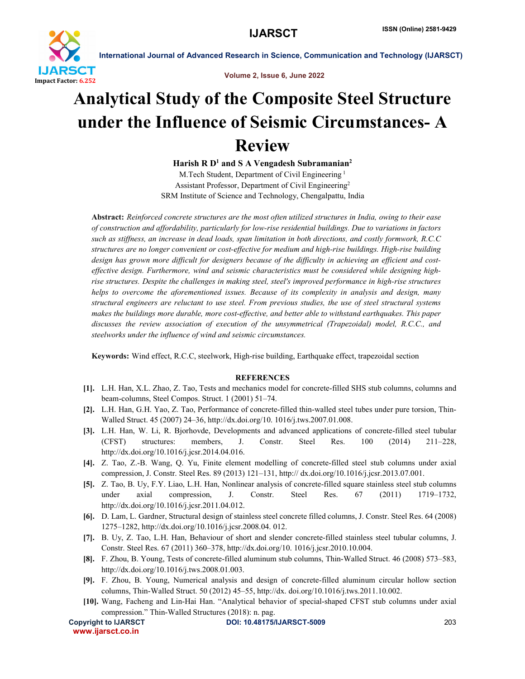

International Journal of Advanced Research in Science, Communication and Technology (IJARSCT)

Volume 2, Issue 6, June 2022

## Analytical Study of the Composite Steel Structure under the Influence of Seismic Circumstances- A Review

Harish R  $D<sup>1</sup>$  and S A Vengadesh Subramanian<sup>2</sup>

M.Tech Student, Department of Civil Engineering <sup>1</sup> Assistant Professor, Department of Civil Engineering2 SRM Institute of Science and Technology, Chengalpattu, India

Abstract: *Reinforced concrete structures are the most often utilized structures in India, owing to their ease of construction and affordability, particularly for low-rise residential buildings. Due to variations in factors such as stiffness, an increase in dead loads, span limitation in both directions, and costly formwork, R.C.C structures are no longer convenient or cost-effective for medium and high-rise buildings. High-rise building design has grown more difficult for designers because of the difficulty in achieving an efficient and costeffective design. Furthermore, wind and seismic characteristics must be considered while designing highrise structures. Despite the challenges in making steel, steel's improved performance in high-rise structures helps to overcome the aforementioned issues. Because of its complexity in analysis and design, many structural engineers are reluctant to use steel. From previous studies, the use of steel structural systems makes the buildings more durable, more cost-effective, and better able to withstand earthquakes. This paper discusses the review association of execution of the unsymmetrical (Trapezoidal) model, R.C.C., and steelworks under the influence of wind and seismic circumstances.*

Keywords: Wind effect, R.C.C, steelwork, High-rise building, Earthquake effect, trapezoidal section

## **REFERENCES**

- [1]. L.H. Han, X.L. Zhao, Z. Tao, Tests and mechanics model for concrete-filled SHS stub columns, columns and beam-columns, Steel Compos. Struct. 1 (2001) 51–74.
- [2]. L.H. Han, G.H. Yao, Z. Tao, Performance of concrete-filled thin-walled steel tubes under pure torsion, Thin-Walled Struct. 45 (2007) 24–36, http://dx.doi.org/10. 1016/j.tws.2007.01.008.
- [3]. L.H. Han, W. Li, R. Bjorhovde, Developments and advanced applications of concrete-filled steel tubular (CFST) structures: members, J. Constr. Steel Res. 100 (2014) 211–228, http://dx.doi.org/10.1016/j.jcsr.2014.04.016.
- [4]. Z. Tao, Z.-B. Wang, Q. Yu, Finite element modelling of concrete-filled steel stub columns under axial compression, J. Constr. Steel Res. 89 (2013) 121–131, http:// dx.doi.org/10.1016/j.jcsr.2013.07.001.
- [5]. Z. Tao, B. Uy, F.Y. Liao, L.H. Han, Nonlinear analysis of concrete-filled square stainless steel stub columns under axial compression, J. Constr. Steel Res. 67 (2011) 1719–1732, http://dx.doi.org/10.1016/j.jcsr.2011.04.012.
- [6]. D. Lam, L. Gardner, Structural design of stainless steel concrete filled columns, J. Constr. Steel Res. 64 (2008) 1275–1282, http://dx.doi.org/10.1016/j.jcsr.2008.04. 012.
- [7]. B. Uy, Z. Tao, L.H. Han, Behaviour of short and slender concrete-filled stainless steel tubular columns, J. Constr. Steel Res. 67 (2011) 360–378, http://dx.doi.org/10. 1016/j.jcsr.2010.10.004.
- [8]. F. Zhou, B. Young, Tests of concrete-filled aluminum stub columns, Thin-Walled Struct. 46 (2008) 573–583, http://dx.doi.org/10.1016/j.tws.2008.01.003.
- [9]. F. Zhou, B. Young, Numerical analysis and design of concrete-filled aluminum circular hollow section columns, Thin-Walled Struct. 50 (2012) 45–55, http://dx. doi.org/10.1016/j.tws.2011.10.002.
- [10]. Wang, Facheng and Lin-Hai Han. "Analytical behavior of special-shaped CFST stub columns under axial compression." Thin-Walled Structures (2018): n. pag.

www.ijarsct.co.in